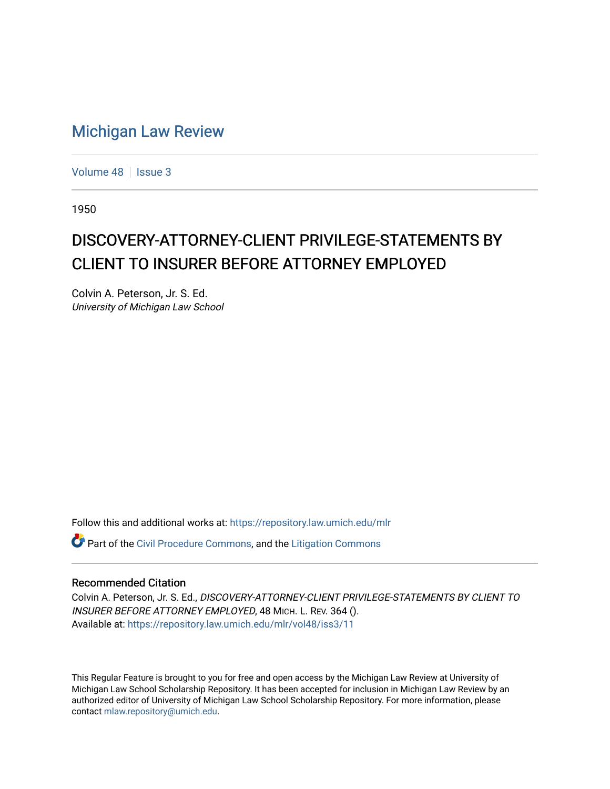## [Michigan Law Review](https://repository.law.umich.edu/mlr)

[Volume 48](https://repository.law.umich.edu/mlr/vol48) | [Issue 3](https://repository.law.umich.edu/mlr/vol48/iss3)

1950

## DISCOVERY-ATTORNEY-CLIENT PRIVILEGE-STATEMENTS BY CLIENT TO INSURER BEFORE ATTORNEY EMPLOYED

Colvin A. Peterson, Jr. S. Ed. University of Michigan Law School

Follow this and additional works at: [https://repository.law.umich.edu/mlr](https://repository.law.umich.edu/mlr?utm_source=repository.law.umich.edu%2Fmlr%2Fvol48%2Fiss3%2F11&utm_medium=PDF&utm_campaign=PDFCoverPages) 

**C** Part of the [Civil Procedure Commons,](http://network.bepress.com/hgg/discipline/584?utm_source=repository.law.umich.edu%2Fmlr%2Fvol48%2Fiss3%2F11&utm_medium=PDF&utm_campaign=PDFCoverPages) and the Litigation Commons

## Recommended Citation

Colvin A. Peterson, Jr. S. Ed., DISCOVERY-ATTORNEY-CLIENT PRIVILEGE-STATEMENTS BY CLIENT TO INSURER BEFORE ATTORNEY EMPLOYED, 48 MICH. L. REV. 364 (). Available at: [https://repository.law.umich.edu/mlr/vol48/iss3/11](https://repository.law.umich.edu/mlr/vol48/iss3/11?utm_source=repository.law.umich.edu%2Fmlr%2Fvol48%2Fiss3%2F11&utm_medium=PDF&utm_campaign=PDFCoverPages) 

This Regular Feature is brought to you for free and open access by the Michigan Law Review at University of Michigan Law School Scholarship Repository. It has been accepted for inclusion in Michigan Law Review by an authorized editor of University of Michigan Law School Scholarship Repository. For more information, please contact [mlaw.repository@umich.edu](mailto:mlaw.repository@umich.edu).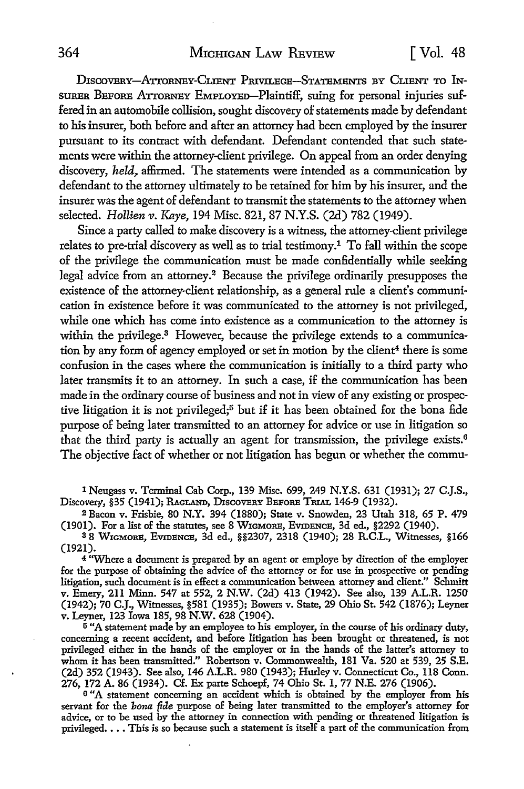DISCOVERY-ATTORNEY-CLIENT PRIVILEGE-STATEMENTS BY CLIENT TO IN-SURER BEFORE ATTORNEY EMPLOYEo-PlaintifF, suing for personal injuries suffered in an automobile collision, sought discovery of statements made by defendant to his insurer, both before and after an attorney had been employed by the insurer pursuant to its contract with defendant. Defendant contended that such statements were within the attorney-client privilege. On appeal from an order denying discovery, *held~* affirmed. The statements were intended as a communication by defendant to the attorney ultimately to be retained for him by his insurer, and the insurer was the agent of defendant to transmit the statements to the attorney when selected. *Hollien v. Kaye,* 194 Misc. 821, 87 N.Y.S. (2d) 782 (1949).

Since a party called to make discovery is a witness, the attorney-client privilege relates to pre-trial discovery as well as to trial testimony.1 To fall within the scope of the privilege the communication must be made confidentially while seeking legal advice from an attorney.<sup>2</sup> Because the privilege ordinarily presupposes the existence of the attorney-client relationship, as a general rule a client's communication in existence before it was communicated to the attorney is not privileged, while one which has come into existence as a communication to the attorney is within the privilege.<sup>3</sup> However, because the privilege extends to a communication by any form of agency employed or set in motion by the client<sup>4</sup> there is some confusion in the cases where the communication is initially to a third party who later transmits it to an attorney. In such a case, if the communication has been made in the ordinary course of business and not in view of any existing or prospective litigation it is not privileged;<sup>5</sup> but if it has been obtained for the bona fide purpose of being later transmitted to an attorney for advice or use in litigation so that the third party is actually an agent for transmission, the privilege exists.<sup>6</sup> The objective fact of whether or not litigation has begun or whether the commu-

1 Neugass v. Terminal Cab Corp., 139 Misc. 699, 249 N.Y.S. 631 (1931); 27 C.J.S., Discovery, §35 (1941); RAGLAND, DISCOVERY BEFORE TRIAL 146-9 (1932).

<sup>2</sup>Bacon v. Frisbie, 80 N.Y. 394 (1880); State v. Snowden, 23 Utah 318, 65 P. 479 (1901). For a list of the statutes, see 8 WIGMORE, EVIDENCE, 3d ed., §2292 (1940).

<sup>3</sup>8 WmMoRE, EvmBNCB, 3d ed., §§2307, 2318 (1940); 28 R.C.L., Witnesses, §166 (1921).

<sup>4</sup> "Where a document is prepared by an agent or employe by direction of the employer for the purpose of obtaining the advice of the attorney or for use in prospective or pending litigation, such document is in effect a communication between attorney and client." Schmitt v. Emery, 211 Minn. 547 at 552, 2 N.W. (2d) 413 (1942). See also, 139 A.L.R. 1250 (1942); 70 C.J., Witnesses, §581 (1935); Bowers v. State, 29 Ohio St. 542 (1876); Leyner v. Leyner, 123 Iowa 185, 98 N.W. 628 (1904).

<sup>5</sup> "A statement made by an employee to his employer, in the course of his ordinary duty, concerning a recent accident, and before litigation has been brought or threatened, is not privileged either :in the hands of the employer or :in the hands of the latter's attorney to whom it has been transmitted." Robertson v. Commonwealth, 181 Va. 520 at 539, 25 S.E. (2d) 352 (1943). See also, 146 A.L.R. 980 (1943); Hurley v. Connecticut Co., 118 Conn. 276, 172 A. 86 (1934). Cf. Ex parte Schoepf, 74 Ohio St. 1, 77 N.E. 276 (1906).

<sup>6</sup>"A statement concerning an accident which is obtained by the employer from his servant for the *bona fide* purpose of being later transmitted to the employer's attorney for advice, or to be used by the attorney in connection with pending or threatened litigation is privileged. . . . This is so because such a statement is itself a part of the communication from